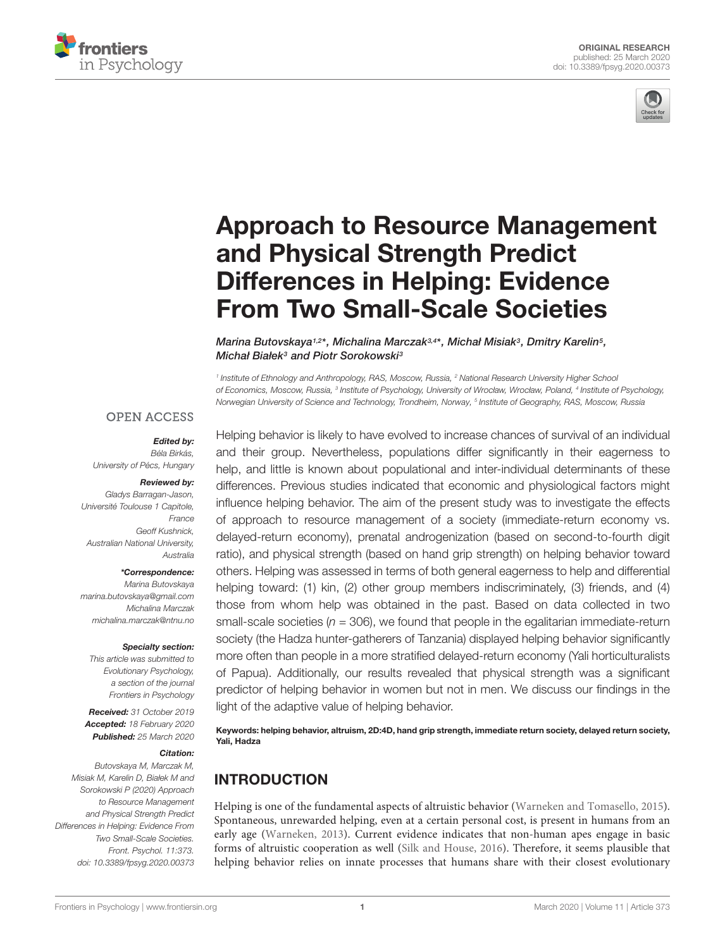



# [Approach to Resource Management](https://www.frontiersin.org/articles/10.3389/fpsyg.2020.00373/full) and Physical Strength Predict Differences in Helping: Evidence From Two Small-Scale Societies

[Marina Butovskaya](http://loop.frontiersin.org/people/463552/overview)1,2\*, [Michalina Marczak](http://loop.frontiersin.org/people/388660/overview)3,4\*, [Michał Misiak](http://loop.frontiersin.org/people/918730/overview)3, Dmitry Karelin<sup>5</sup>, [Michał Białek](http://loop.frontiersin.org/people/144004/overview)<sup>3</sup> and Piotr Sorokowski<sup>3</sup>

<sup>1</sup> Institute of Ethnology and Anthropology, RAS, Moscow, Russia, <sup>2</sup> National Research University Higher School of Economics, Moscow, Russia, <sup>3</sup> Institute of Psychology, University of Wrocław, Wrocław, Poland, <sup>4</sup> Institute of Psychology, Norwegian University of Science and Technology, Trondheim, Norway, <sup>s</sup> Institute of Geography, RAS, Moscow, Russia

### **OPEN ACCESS**

#### Edited by:

Béla Birkás, University of Pécs, Hungary

#### Reviewed by:

Gladys Barragan-Jason, Université Toulouse 1 Capitole, France Geoff Kushnick, Australian National University, Australia

#### \*Correspondence:

Marina Butovskaya marina.butovskaya@gmail.com Michalina Marczak michalina.marczak@ntnu.no

#### Specialty section:

This article was submitted to Evolutionary Psychology, a section of the journal Frontiers in Psychology

Received: 31 October 2019 Accepted: 18 February 2020 Published: 25 March 2020

## Citation:

Butovskaya M, Marczak M, Misiak M, Karelin D, Białek M and Sorokowski P (2020) Approach to Resource Management and Physical Strength Predict Differences in Helping: Evidence From Two Small-Scale Societies. Front. Psychol. 11:373. doi: [10.3389/fpsyg.2020.00373](https://doi.org/10.3389/fpsyg.2020.00373)

Helping behavior is likely to have evolved to increase chances of survival of an individual and their group. Nevertheless, populations differ significantly in their eagerness to help, and little is known about populational and inter-individual determinants of these differences. Previous studies indicated that economic and physiological factors might influence helping behavior. The aim of the present study was to investigate the effects of approach to resource management of a society (immediate-return economy vs. delayed-return economy), prenatal androgenization (based on second-to-fourth digit ratio), and physical strength (based on hand grip strength) on helping behavior toward others. Helping was assessed in terms of both general eagerness to help and differential helping toward: (1) kin, (2) other group members indiscriminately, (3) friends, and (4) those from whom help was obtained in the past. Based on data collected in two small-scale societies ( $n = 306$ ), we found that people in the egalitarian immediate-return society (the Hadza hunter-gatherers of Tanzania) displayed helping behavior significantly more often than people in a more stratified delayed-return economy (Yali horticulturalists of Papua). Additionally, our results revealed that physical strength was a significant predictor of helping behavior in women but not in men. We discuss our findings in the light of the adaptive value of helping behavior.

Keywords: helping behavior, altruism, 2D:4D, hand grip strength, immediate return society, delayed return society, Yali, Hadza

# INTRODUCTION

Helping is one of the fundamental aspects of altruistic behavior [\(Warneken and Tomasello,](#page-8-0) [2015\)](#page-8-0). Spontaneous, unrewarded helping, even at a certain personal cost, is present in humans from an early age [\(Warneken,](#page-8-1) [2013\)](#page-8-1). Current evidence indicates that non-human apes engage in basic forms of altruistic cooperation as well [\(Silk and House,](#page-8-2) [2016\)](#page-8-2). Therefore, it seems plausible that helping behavior relies on innate processes that humans share with their closest evolutionary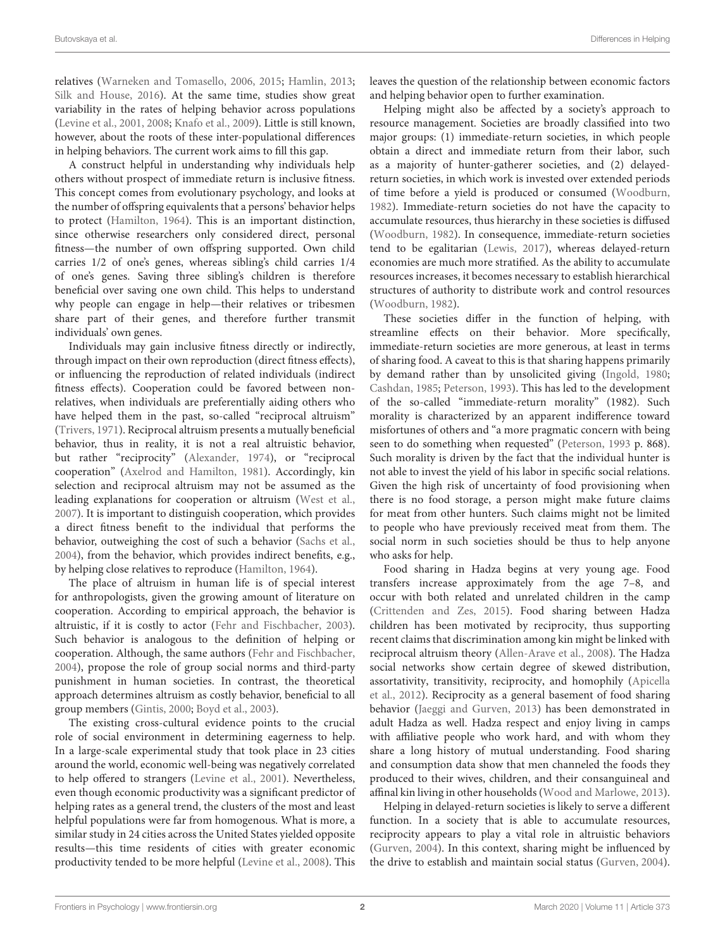relatives [\(Warneken and Tomasello,](#page-8-3) [2006,](#page-8-3) [2015;](#page-8-0) [Hamlin,](#page-7-0) [2013;](#page-7-0) [Silk and House,](#page-8-2) [2016\)](#page-8-2). At the same time, studies show great variability in the rates of helping behavior across populations [\(Levine et al.,](#page-7-1) [2001,](#page-7-1) [2008;](#page-7-2) [Knafo et al.,](#page-7-3) [2009\)](#page-7-3). Little is still known, however, about the roots of these inter-populational differences in helping behaviors. The current work aims to fill this gap.

A construct helpful in understanding why individuals help others without prospect of immediate return is inclusive fitness. This concept comes from evolutionary psychology, and looks at the number of offspring equivalents that a persons' behavior helps to protect [\(Hamilton,](#page-7-4) [1964\)](#page-7-4). This is an important distinction, since otherwise researchers only considered direct, personal fitness—the number of own offspring supported. Own child carries 1/2 of one's genes, whereas sibling's child carries 1/4 of one's genes. Saving three sibling's children is therefore beneficial over saving one own child. This helps to understand why people can engage in help—their relatives or tribesmen share part of their genes, and therefore further transmit individuals' own genes.

Individuals may gain inclusive fitness directly or indirectly, through impact on their own reproduction (direct fitness effects), or influencing the reproduction of related individuals (indirect fitness effects). Cooperation could be favored between nonrelatives, when individuals are preferentially aiding others who have helped them in the past, so-called "reciprocal altruism" [\(Trivers,](#page-8-4) [1971\)](#page-8-4). Reciprocal altruism presents a mutually beneficial behavior, thus in reality, it is not a real altruistic behavior, but rather "reciprocity" [\(Alexander,](#page-7-5) [1974\)](#page-7-5), or "reciprocal cooperation" [\(Axelrod and Hamilton,](#page-7-6) [1981\)](#page-7-6). Accordingly, kin selection and reciprocal altruism may not be assumed as the leading explanations for cooperation or altruism [\(West et al.,](#page-8-5) [2007\)](#page-8-5). It is important to distinguish cooperation, which provides a direct fitness benefit to the individual that performs the behavior, outweighing the cost of such a behavior [\(Sachs et al.,](#page-8-6) [2004\)](#page-8-6), from the behavior, which provides indirect benefits, e.g., by helping close relatives to reproduce [\(Hamilton,](#page-7-4) [1964\)](#page-7-4).

The place of altruism in human life is of special interest for anthropologists, given the growing amount of literature on cooperation. According to empirical approach, the behavior is altruistic, if it is costly to actor [\(Fehr and Fischbacher,](#page-7-7) [2003\)](#page-7-7). Such behavior is analogous to the definition of helping or cooperation. Although, the same authors [\(Fehr and Fischbacher,](#page-7-8) [2004\)](#page-7-8), propose the role of group social norms and third-party punishment in human societies. In contrast, the theoretical approach determines altruism as costly behavior, beneficial to all group members [\(Gintis,](#page-7-9) [2000;](#page-7-9) [Boyd et al.,](#page-7-10) [2003\)](#page-7-10).

The existing cross-cultural evidence points to the crucial role of social environment in determining eagerness to help. In a large-scale experimental study that took place in 23 cities around the world, economic well-being was negatively correlated to help offered to strangers [\(Levine et al.,](#page-7-1) [2001\)](#page-7-1). Nevertheless, even though economic productivity was a significant predictor of helping rates as a general trend, the clusters of the most and least helpful populations were far from homogenous. What is more, a similar study in 24 cities across the United States yielded opposite results—this time residents of cities with greater economic productivity tended to be more helpful [\(Levine et al.,](#page-7-2) [2008\)](#page-7-2). This leaves the question of the relationship between economic factors and helping behavior open to further examination.

Helping might also be affected by a society's approach to resource management. Societies are broadly classified into two major groups: (1) immediate-return societies, in which people obtain a direct and immediate return from their labor, such as a majority of hunter-gatherer societies, and (2) delayedreturn societies, in which work is invested over extended periods of time before a yield is produced or consumed [\(Woodburn,](#page-8-7) [1982\)](#page-8-7). Immediate-return societies do not have the capacity to accumulate resources, thus hierarchy in these societies is diffused [\(Woodburn,](#page-8-7) [1982\)](#page-8-7). In consequence, immediate-return societies tend to be egalitarian [\(Lewis,](#page-7-11) [2017\)](#page-7-11), whereas delayed-return economies are much more stratified. As the ability to accumulate resources increases, it becomes necessary to establish hierarchical structures of authority to distribute work and control resources [\(Woodburn,](#page-8-7) [1982\)](#page-8-7).

These societies differ in the function of helping, with streamline effects on their behavior. More specifically, immediate-return societies are more generous, at least in terms of sharing food. A caveat to this is that sharing happens primarily by demand rather than by unsolicited giving [\(Ingold,](#page-7-12) [1980;](#page-7-12) [Cashdan,](#page-7-13) [1985;](#page-7-13) [Peterson,](#page-8-8) [1993\)](#page-8-8). This has led to the development of the so-called "immediate-return morality" (1982). Such morality is characterized by an apparent indifference toward misfortunes of others and "a more pragmatic concern with being seen to do something when requested" [\(Peterson,](#page-8-8) [1993](#page-8-8) p. 868). Such morality is driven by the fact that the individual hunter is not able to invest the yield of his labor in specific social relations. Given the high risk of uncertainty of food provisioning when there is no food storage, a person might make future claims for meat from other hunters. Such claims might not be limited to people who have previously received meat from them. The social norm in such societies should be thus to help anyone who asks for help.

Food sharing in Hadza begins at very young age. Food transfers increase approximately from the age 7–8, and occur with both related and unrelated children in the camp [\(Crittenden and Zes,](#page-7-14) [2015\)](#page-7-14). Food sharing between Hadza children has been motivated by reciprocity, thus supporting recent claims that discrimination among kin might be linked with reciprocal altruism theory [\(Allen-Arave et al.,](#page-7-15) [2008\)](#page-7-15). The Hadza social networks show certain degree of skewed distribution, assortativity, transitivity, reciprocity, and homophily [\(Apicella](#page-7-16) [et al.,](#page-7-16) [2012\)](#page-7-16). Reciprocity as a general basement of food sharing behavior [\(Jaeggi and Gurven,](#page-7-17) [2013\)](#page-7-17) has been demonstrated in adult Hadza as well. Hadza respect and enjoy living in camps with affiliative people who work hard, and with whom they share a long history of mutual understanding. Food sharing and consumption data show that men channeled the foods they produced to their wives, children, and their consanguineal and affinal kin living in other households [\(Wood and Marlowe,](#page-8-9) [2013\)](#page-8-9).

Helping in delayed-return societies is likely to serve a different function. In a society that is able to accumulate resources, reciprocity appears to play a vital role in altruistic behaviors [\(Gurven,](#page-7-18) [2004\)](#page-7-18). In this context, sharing might be influenced by the drive to establish and maintain social status [\(Gurven,](#page-7-18) [2004\)](#page-7-18).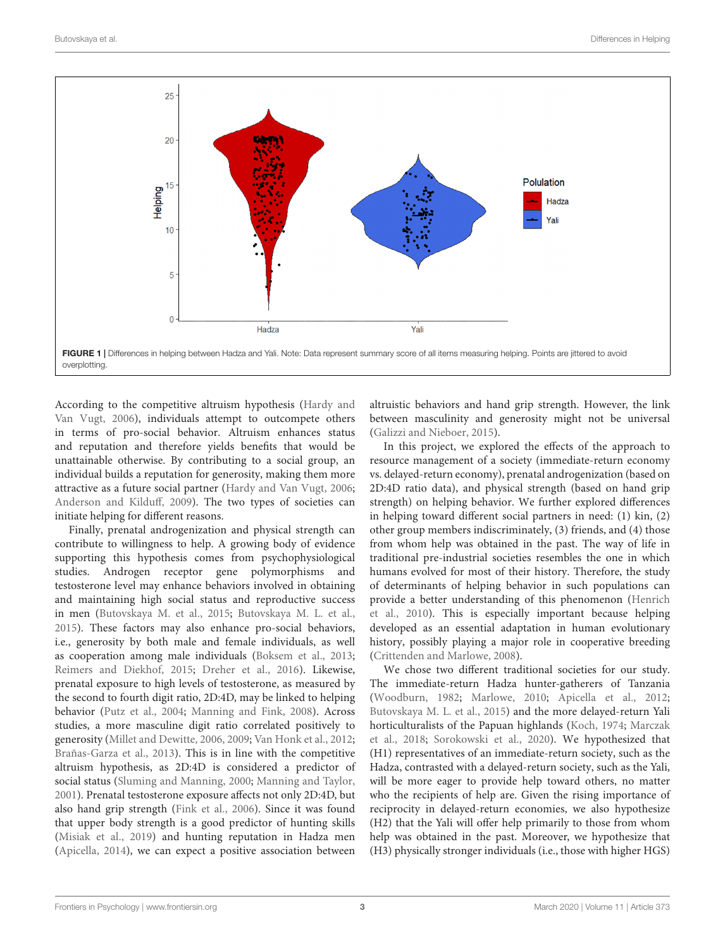

<span id="page-2-0"></span>According to the competitive altruism hypothesis [\(Hardy and](#page-7-19) [Van Vugt,](#page-7-19) [2006\)](#page-7-19), individuals attempt to outcompete others in terms of pro-social behavior. Altruism enhances status and reputation and therefore yields benefits that would be unattainable otherwise. By contributing to a social group, an individual builds a reputation for generosity, making them more attractive as a future social partner [\(Hardy and Van Vugt,](#page-7-19) [2006;](#page-7-19) [Anderson and Kilduff,](#page-7-20) [2009\)](#page-7-20). The two types of societies can initiate helping for different reasons.

Finally, prenatal androgenization and physical strength can contribute to willingness to help. A growing body of evidence supporting this hypothesis comes from psychophysiological studies. Androgen receptor gene polymorphisms and testosterone level may enhance behaviors involved in obtaining and maintaining high social status and reproductive success in men [\(Butovskaya M. et al.,](#page-7-21) [2015;](#page-7-21) [Butovskaya M. L. et al.,](#page-7-22) [2015\)](#page-7-22). These factors may also enhance pro-social behaviors, i.e., generosity by both male and female individuals, as well as cooperation among male individuals [\(Boksem et al.,](#page-7-23) [2013;](#page-7-23) [Reimers and Diekhof,](#page-8-10) [2015;](#page-8-10) [Dreher et al.,](#page-7-24) [2016\)](#page-7-24). Likewise, prenatal exposure to high levels of testosterone, as measured by the second to fourth digit ratio, 2D:4D, may be linked to helping behavior [\(Putz et al.,](#page-8-11) [2004;](#page-8-11) [Manning and Fink,](#page-7-25) [2008\)](#page-7-25). Across studies, a more masculine digit ratio correlated positively to generosity [\(Millet and Dewitte,](#page-7-26) [2006,](#page-7-26) [2009;](#page-7-27) [Van Honk et al.,](#page-8-12) [2012;](#page-8-12) [Brañas-Garza et al.,](#page-7-28) [2013\)](#page-7-28). This is in line with the competitive altruism hypothesis, as 2D:4D is considered a predictor of social status [\(Sluming and Manning,](#page-8-13) [2000;](#page-8-13) [Manning and Taylor,](#page-7-29) [2001\)](#page-7-29). Prenatal testosterone exposure affects not only 2D:4D, but also hand grip strength [\(Fink et al.,](#page-7-30) [2006\)](#page-7-30). Since it was found that upper body strength is a good predictor of hunting skills [\(Misiak et al.,](#page-7-31) [2019\)](#page-7-31) and hunting reputation in Hadza men [\(Apicella,](#page-7-32) [2014\)](#page-7-32), we can expect a positive association between

altruistic behaviors and hand grip strength. However, the link between masculinity and generosity might not be universal [\(Galizzi and Nieboer,](#page-7-33) [2015\)](#page-7-33).

In this project, we explored the effects of the approach to resource management of a society (immediate-return economy vs. delayed-return economy), prenatal androgenization (based on 2D:4D ratio data), and physical strength (based on hand grip strength) on helping behavior. We further explored differences in helping toward different social partners in need: (1) kin, (2) other group members indiscriminately, (3) friends, and (4) those from whom help was obtained in the past. The way of life in traditional pre-industrial societies resembles the one in which humans evolved for most of their history. Therefore, the study of determinants of helping behavior in such populations can provide a better understanding of this phenomenon [\(Henrich](#page-7-34) [et al.,](#page-7-34) [2010\)](#page-7-34). This is especially important because helping developed as an essential adaptation in human evolutionary history, possibly playing a major role in cooperative breeding [\(Crittenden and Marlowe,](#page-7-35) [2008\)](#page-7-35).

We chose two different traditional societies for our study. The immediate-return Hadza hunter-gatherers of Tanzania [\(Woodburn,](#page-8-7) [1982;](#page-8-7) [Marlowe,](#page-7-36) [2010;](#page-7-36) [Apicella et al.,](#page-7-16) [2012;](#page-7-16) [Butovskaya M. L. et al.,](#page-7-22) [2015\)](#page-7-22) and the more delayed-return Yali horticulturalists of the Papuan highlands [\(Koch,](#page-7-37) [1974;](#page-7-37) [Marczak](#page-7-38) [et al.,](#page-7-38) [2018;](#page-7-38) [Sorokowski et al.,](#page-8-14) [2020\)](#page-8-14). We hypothesized that (H1) representatives of an immediate-return society, such as the Hadza, contrasted with a delayed-return society, such as the Yali, will be more eager to provide help toward others, no matter who the recipients of help are. Given the rising importance of reciprocity in delayed-return economies, we also hypothesize (H2) that the Yali will offer help primarily to those from whom help was obtained in the past. Moreover, we hypothesize that (H3) physically stronger individuals (i.e., those with higher HGS)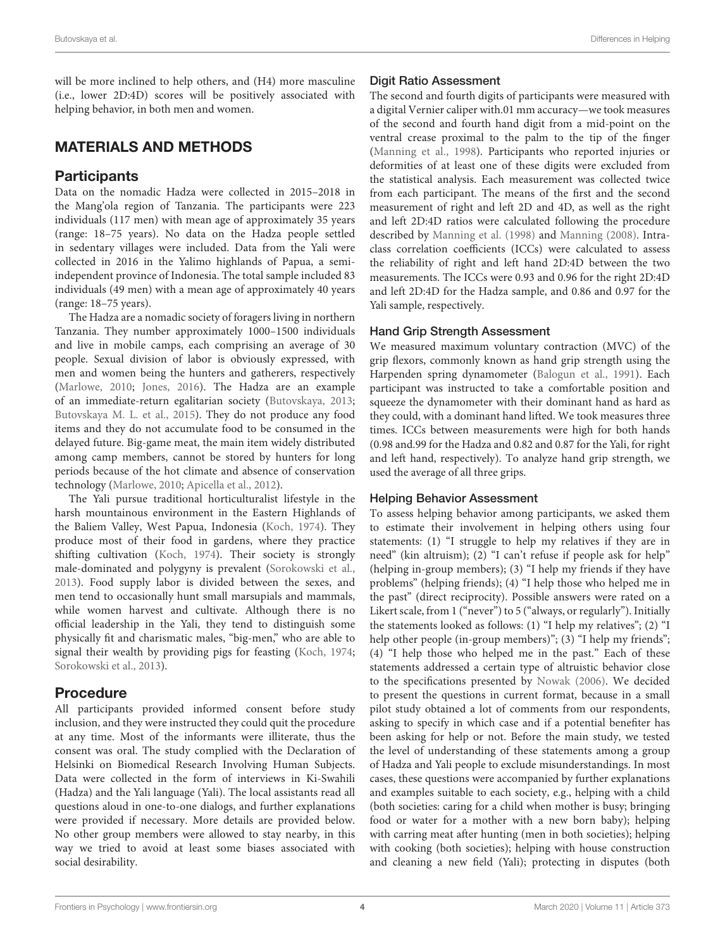will be more inclined to help others, and (H4) more masculine (i.e., lower 2D:4D) scores will be positively associated with helping behavior, in both men and women.

## MATERIALS AND METHODS

## **Participants**

Data on the nomadic Hadza were collected in 2015–2018 in the Mang'ola region of Tanzania. The participants were 223 individuals (117 men) with mean age of approximately 35 years (range: 18–75 years). No data on the Hadza people settled in sedentary villages were included. Data from the Yali were collected in 2016 in the Yalimo highlands of Papua, a semiindependent province of Indonesia. The total sample included 83 individuals (49 men) with a mean age of approximately 40 years (range: 18–75 years).

The Hadza are a nomadic society of foragers living in northern Tanzania. They number approximately 1000–1500 individuals and live in mobile camps, each comprising an average of 30 people. Sexual division of labor is obviously expressed, with men and women being the hunters and gatherers, respectively [\(Marlowe,](#page-7-36) [2010;](#page-7-36) [Jones,](#page-7-39) [2016\)](#page-7-39). The Hadza are an example of an immediate-return egalitarian society [\(Butovskaya,](#page-7-40) [2013;](#page-7-40) [Butovskaya M. L. et al.,](#page-7-22) [2015\)](#page-7-22). They do not produce any food items and they do not accumulate food to be consumed in the delayed future. Big-game meat, the main item widely distributed among camp members, cannot be stored by hunters for long periods because of the hot climate and absence of conservation technology [\(Marlowe,](#page-7-36) [2010;](#page-7-36) [Apicella et al.,](#page-7-16) [2012\)](#page-7-16).

The Yali pursue traditional horticulturalist lifestyle in the harsh mountainous environment in the Eastern Highlands of the Baliem Valley, West Papua, Indonesia [\(Koch,](#page-7-37) [1974\)](#page-7-37). They produce most of their food in gardens, where they practice shifting cultivation [\(Koch,](#page-7-37) [1974\)](#page-7-37). Their society is strongly male-dominated and polygyny is prevalent [\(Sorokowski et al.,](#page-8-15) [2013\)](#page-8-15). Food supply labor is divided between the sexes, and men tend to occasionally hunt small marsupials and mammals, while women harvest and cultivate. Although there is no official leadership in the Yali, they tend to distinguish some physically fit and charismatic males, "big-men," who are able to signal their wealth by providing pigs for feasting [\(Koch,](#page-7-37) [1974;](#page-7-37) [Sorokowski et al.,](#page-8-15) [2013\)](#page-8-15).

## Procedure

All participants provided informed consent before study inclusion, and they were instructed they could quit the procedure at any time. Most of the informants were illiterate, thus the consent was oral. The study complied with the Declaration of Helsinki on Biomedical Research Involving Human Subjects. Data were collected in the form of interviews in Ki-Swahili (Hadza) and the Yali language (Yali). The local assistants read all questions aloud in one-to-one dialogs, and further explanations were provided if necessary. More details are provided below. No other group members were allowed to stay nearby, in this way we tried to avoid at least some biases associated with social desirability.

## Digit Ratio Assessment

The second and fourth digits of participants were measured with a digital Vernier caliper with.01 mm accuracy—we took measures of the second and fourth hand digit from a mid-point on the ventral crease proximal to the palm to the tip of the finger [\(Manning et al.,](#page-7-41) [1998\)](#page-7-41). Participants who reported injuries or deformities of at least one of these digits were excluded from the statistical analysis. Each measurement was collected twice from each participant. The means of the first and the second measurement of right and left 2D and 4D, as well as the right and left 2D:4D ratios were calculated following the procedure described by [Manning et al.](#page-7-41) [\(1998\)](#page-7-41) and [Manning](#page-7-42) [\(2008\)](#page-7-42). Intraclass correlation coefficients (ICCs) were calculated to assess the reliability of right and left hand 2D:4D between the two measurements. The ICCs were 0.93 and 0.96 for the right 2D:4D and left 2D:4D for the Hadza sample, and 0.86 and 0.97 for the Yali sample, respectively.

## Hand Grip Strength Assessment

We measured maximum voluntary contraction (MVC) of the grip flexors, commonly known as hand grip strength using the Harpenden spring dynamometer [\(Balogun et al.,](#page-7-43) [1991\)](#page-7-43). Each participant was instructed to take a comfortable position and squeeze the dynamometer with their dominant hand as hard as they could, with a dominant hand lifted. We took measures three times. ICCs between measurements were high for both hands (0.98 and.99 for the Hadza and 0.82 and 0.87 for the Yali, for right and left hand, respectively). To analyze hand grip strength, we used the average of all three grips.

### Helping Behavior Assessment

To assess helping behavior among participants, we asked them to estimate their involvement in helping others using four statements: (1) "I struggle to help my relatives if they are in need" (kin altruism); (2) "I can't refuse if people ask for help" (helping in-group members); (3) "I help my friends if they have problems" (helping friends); (4) "I help those who helped me in the past" (direct reciprocity). Possible answers were rated on a Likert scale, from 1 ("never") to 5 ("always, or regularly"). Initially the statements looked as follows: (1) "I help my relatives"; (2) "I help other people (in-group members)"; (3) "I help my friends"; (4) "I help those who helped me in the past." Each of these statements addressed a certain type of altruistic behavior close to the specifications presented by [Nowak](#page-8-16) [\(2006\)](#page-8-16). We decided to present the questions in current format, because in a small pilot study obtained a lot of comments from our respondents, asking to specify in which case and if a potential benefiter has been asking for help or not. Before the main study, we tested the level of understanding of these statements among a group of Hadza and Yali people to exclude misunderstandings. In most cases, these questions were accompanied by further explanations and examples suitable to each society, e.g., helping with a child (both societies: caring for a child when mother is busy; bringing food or water for a mother with a new born baby); helping with carring meat after hunting (men in both societies); helping with cooking (both societies); helping with house construction and cleaning a new field (Yali); protecting in disputes (both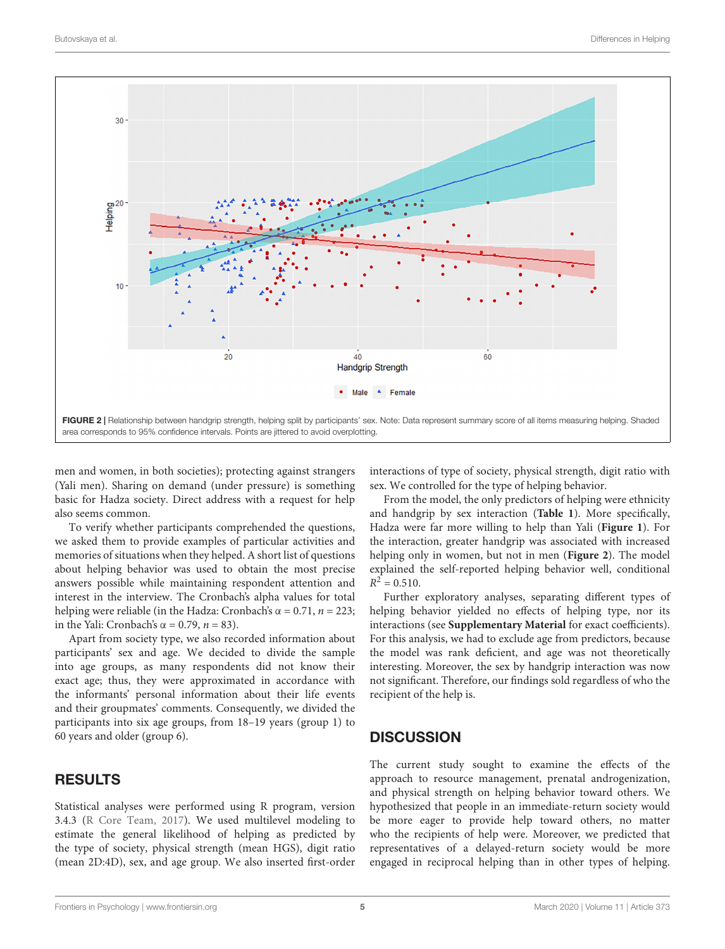

<span id="page-4-0"></span>men and women, in both societies); protecting against strangers (Yali men). Sharing on demand (under pressure) is something basic for Hadza society. Direct address with a request for help also seems common.

To verify whether participants comprehended the questions, we asked them to provide examples of particular activities and memories of situations when they helped. A short list of questions about helping behavior was used to obtain the most precise answers possible while maintaining respondent attention and interest in the interview. The Cronbach's alpha values for total helping were reliable (in the Hadza: Cronbach's  $\alpha = 0.71$ ,  $n = 223$ ; in the Yali: Cronbach's  $\alpha = 0.79$ ,  $n = 83$ ).

Apart from society type, we also recorded information about participants' sex and age. We decided to divide the sample into age groups, as many respondents did not know their exact age; thus, they were approximated in accordance with the informants' personal information about their life events and their groupmates' comments. Consequently, we divided the participants into six age groups, from 18–19 years (group 1) to 60 years and older (group 6).

# **RESULTS**

Statistical analyses were performed using R program, version 3.4.3 [\(R Core Team,](#page-8-17) [2017\)](#page-8-17). We used multilevel modeling to estimate the general likelihood of helping as predicted by the type of society, physical strength (mean HGS), digit ratio (mean 2D:4D), sex, and age group. We also inserted first-order

interactions of type of society, physical strength, digit ratio with sex. We controlled for the type of helping behavior.

From the model, the only predictors of helping were ethnicity and handgrip by sex interaction (**[Table 1](#page-5-0)**). More specifically, Hadza were far more willing to help than Yali (**[Figure 1](#page-2-0)**). For the interaction, greater handgrip was associated with increased helping only in women, but not in men (**[Figure 2](#page-4-0)**). The model explained the self-reported helping behavior well, conditional  $R^2 = 0.510$ .

Further exploratory analyses, separating different types of helping behavior yielded no effects of helping type, nor its interactions (see **[Supplementary Material](#page-6-0)** for exact coefficients). For this analysis, we had to exclude age from predictors, because the model was rank deficient, and age was not theoretically interesting. Moreover, the sex by handgrip interaction was now not significant. Therefore, our findings sold regardless of who the recipient of the help is.

## **DISCUSSION**

The current study sought to examine the effects of the approach to resource management, prenatal androgenization, and physical strength on helping behavior toward others. We hypothesized that people in an immediate-return society would be more eager to provide help toward others, no matter who the recipients of help were. Moreover, we predicted that representatives of a delayed-return society would be more engaged in reciprocal helping than in other types of helping.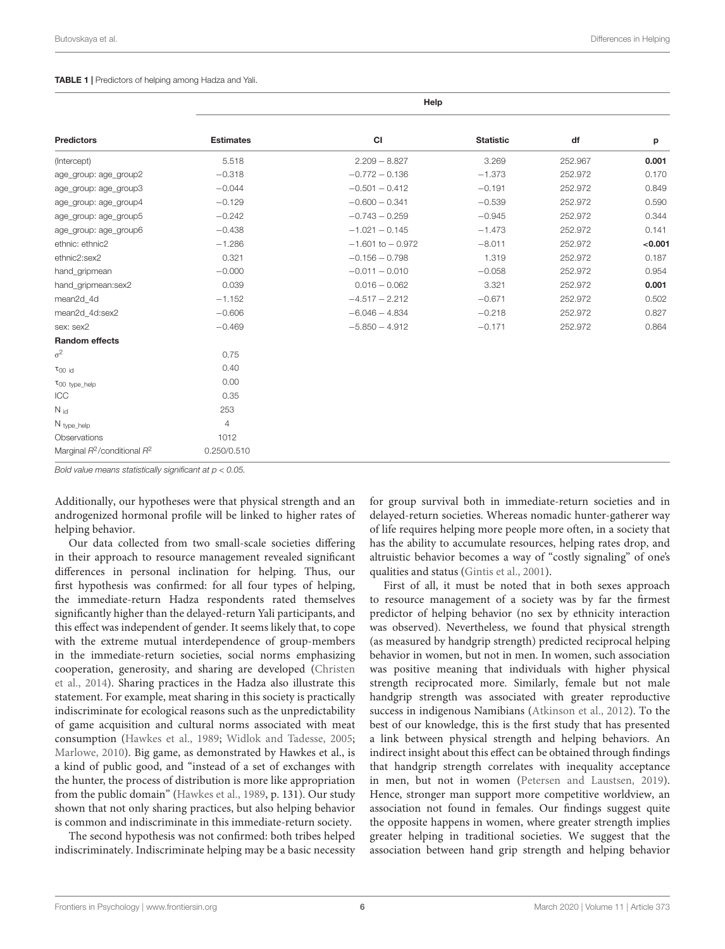#### <span id="page-5-0"></span>TABLE 1 | Predictors of helping among Hadza and Yali.

| <b>Predictors</b>                 | Help             |                      |                  |         |         |
|-----------------------------------|------------------|----------------------|------------------|---------|---------|
|                                   | <b>Estimates</b> | <b>CI</b>            | <b>Statistic</b> | df      | р       |
| (Intercept)                       | 5.518            | $2.209 - 8.827$      | 3.269            | 252.967 | 0.001   |
| age_group: age_group2             | $-0.318$         | $-0.772 - 0.136$     | $-1.373$         | 252.972 | 0.170   |
| age_group: age_group3             | $-0.044$         | $-0.501 - 0.412$     | $-0.191$         | 252.972 | 0.849   |
| age_group: age_group4             | $-0.129$         | $-0.600 - 0.341$     | $-0.539$         | 252.972 | 0.590   |
| age_group: age_group5             | $-0.242$         | $-0.743 - 0.259$     | $-0.945$         | 252.972 | 0.344   |
| age_group: age_group6             | $-0.438$         | $-1.021 - 0.145$     | $-1.473$         | 252.972 | 0.141   |
| ethnic: ethnic2                   | $-1.286$         | $-1.601$ to $-0.972$ | $-8.011$         | 252.972 | < 0.001 |
| ethnic2:sex2                      | 0.321            | $-0.156 - 0.798$     | 1.319            | 252.972 | 0.187   |
| hand_gripmean                     | $-0.000$         | $-0.011 - 0.010$     | $-0.058$         | 252.972 | 0.954   |
| hand_gripmean:sex2                | 0.039            | $0.016 - 0.062$      | 3.321            | 252.972 | 0.001   |
| mean2d_4d                         | $-1.152$         | $-4.517 - 2.212$     | $-0.671$         | 252.972 | 0.502   |
| mean2d_4d:sex2                    | $-0.606$         | $-6.046 - 4.834$     | $-0.218$         | 252.972 | 0.827   |
| sex: sex2                         | $-0.469$         | $-5.850 - 4.912$     | $-0.171$         | 252.972 | 0.864   |
| <b>Random effects</b>             |                  |                      |                  |         |         |
| $\sigma^2$                        | 0.75             |                      |                  |         |         |
| $\tau_{00}$ id                    | 0.40             |                      |                  |         |         |
| $\tau$ 00 type_help               | 0.00             |                      |                  |         |         |
| ICC                               | 0.35             |                      |                  |         |         |
| $N_{id}$                          | 253              |                      |                  |         |         |
| N type_help                       | $\overline{4}$   |                      |                  |         |         |
| Observations                      | 1012             |                      |                  |         |         |
| Marginal $R^2$ /conditional $R^2$ | 0.250/0.510      |                      |                  |         |         |

Bold value means statistically significant at  $p < 0.05$ .

Additionally, our hypotheses were that physical strength and an androgenized hormonal profile will be linked to higher rates of helping behavior.

Our data collected from two small-scale societies differing in their approach to resource management revealed significant differences in personal inclination for helping. Thus, our first hypothesis was confirmed: for all four types of helping, the immediate-return Hadza respondents rated themselves significantly higher than the delayed-return Yali participants, and this effect was independent of gender. It seems likely that, to cope with the extreme mutual interdependence of group-members in the immediate-return societies, social norms emphasizing cooperation, generosity, and sharing are developed [\(Christen](#page-7-44) [et al.,](#page-7-44) [2014\)](#page-7-44). Sharing practices in the Hadza also illustrate this statement. For example, meat sharing in this society is practically indiscriminate for ecological reasons such as the unpredictability of game acquisition and cultural norms associated with meat consumption [\(Hawkes et al.,](#page-7-45) [1989;](#page-7-45) [Widlok and Tadesse,](#page-8-18) [2005;](#page-8-18) [Marlowe,](#page-7-36) [2010\)](#page-7-36). Big game, as demonstrated by Hawkes et al., is a kind of public good, and "instead of a set of exchanges with the hunter, the process of distribution is more like appropriation from the public domain" [\(Hawkes et al.,](#page-7-45) [1989,](#page-7-45) p. 131). Our study shown that not only sharing practices, but also helping behavior is common and indiscriminate in this immediate-return society.

The second hypothesis was not confirmed: both tribes helped indiscriminately. Indiscriminate helping may be a basic necessity for group survival both in immediate-return societies and in delayed-return societies. Whereas nomadic hunter-gatherer way of life requires helping more people more often, in a society that has the ability to accumulate resources, helping rates drop, and altruistic behavior becomes a way of "costly signaling" of one's qualities and status [\(Gintis et al.,](#page-7-46) [2001\)](#page-7-46).

First of all, it must be noted that in both sexes approach to resource management of a society was by far the firmest predictor of helping behavior (no sex by ethnicity interaction was observed). Nevertheless, we found that physical strength (as measured by handgrip strength) predicted reciprocal helping behavior in women, but not in men. In women, such association was positive meaning that individuals with higher physical strength reciprocated more. Similarly, female but not male handgrip strength was associated with greater reproductive success in indigenous Namibians [\(Atkinson et al.,](#page-7-47) [2012\)](#page-7-47). To the best of our knowledge, this is the first study that has presented a link between physical strength and helping behaviors. An indirect insight about this effect can be obtained through findings that handgrip strength correlates with inequality acceptance in men, but not in women [\(Petersen and Laustsen,](#page-8-19) [2019\)](#page-8-19). Hence, stronger man support more competitive worldview, an association not found in females. Our findings suggest quite the opposite happens in women, where greater strength implies greater helping in traditional societies. We suggest that the association between hand grip strength and helping behavior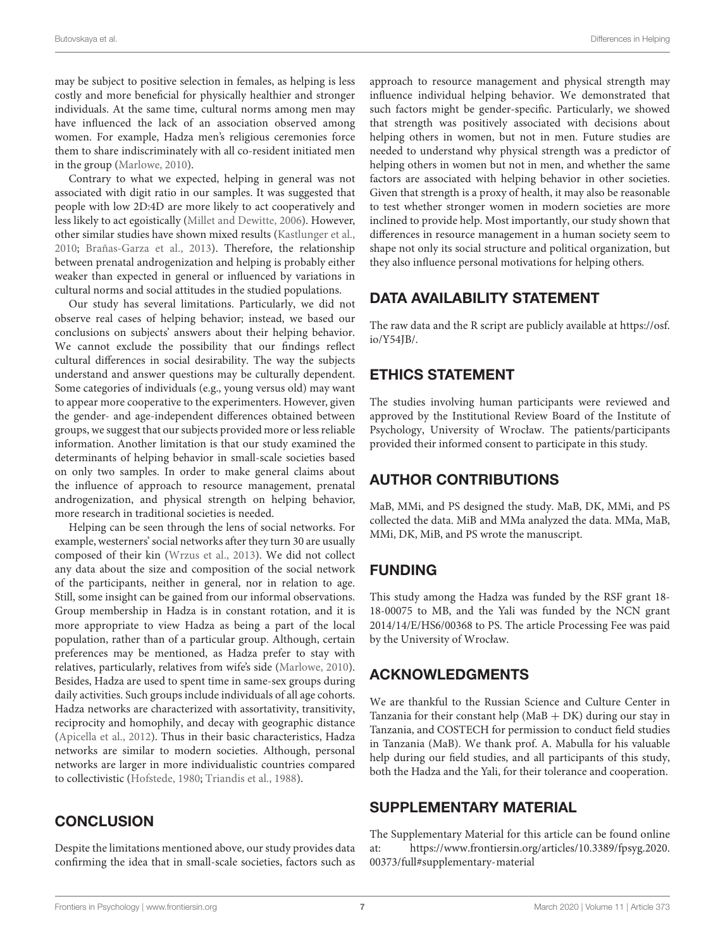may be subject to positive selection in females, as helping is less costly and more beneficial for physically healthier and stronger individuals. At the same time, cultural norms among men may have influenced the lack of an association observed among women. For example, Hadza men's religious ceremonies force them to share indiscriminately with all co-resident initiated men in the group [\(Marlowe,](#page-7-36) [2010\)](#page-7-36).

Contrary to what we expected, helping in general was not associated with digit ratio in our samples. It was suggested that people with low 2D:4D are more likely to act cooperatively and less likely to act egoistically [\(Millet and Dewitte,](#page-7-26) [2006\)](#page-7-26). However, other similar studies have shown mixed results [\(Kastlunger et al.,](#page-7-48) [2010;](#page-7-48) [Brañas-Garza et al.,](#page-7-28) [2013\)](#page-7-28). Therefore, the relationship between prenatal androgenization and helping is probably either weaker than expected in general or influenced by variations in cultural norms and social attitudes in the studied populations.

Our study has several limitations. Particularly, we did not observe real cases of helping behavior; instead, we based our conclusions on subjects' answers about their helping behavior. We cannot exclude the possibility that our findings reflect cultural differences in social desirability. The way the subjects understand and answer questions may be culturally dependent. Some categories of individuals (e.g., young versus old) may want to appear more cooperative to the experimenters. However, given the gender- and age-independent differences obtained between groups, we suggest that our subjects provided more or less reliable information. Another limitation is that our study examined the determinants of helping behavior in small-scale societies based on only two samples. In order to make general claims about the influence of approach to resource management, prenatal androgenization, and physical strength on helping behavior, more research in traditional societies is needed.

Helping can be seen through the lens of social networks. For example, westerners' social networks after they turn 30 are usually composed of their kin [\(Wrzus et al.,](#page-8-20) [2013\)](#page-8-20). We did not collect any data about the size and composition of the social network of the participants, neither in general, nor in relation to age. Still, some insight can be gained from our informal observations. Group membership in Hadza is in constant rotation, and it is more appropriate to view Hadza as being a part of the local population, rather than of a particular group. Although, certain preferences may be mentioned, as Hadza prefer to stay with relatives, particularly, relatives from wife's side [\(Marlowe,](#page-7-36) [2010\)](#page-7-36). Besides, Hadza are used to spent time in same-sex groups during daily activities. Such groups include individuals of all age cohorts. Hadza networks are characterized with assortativity, transitivity, reciprocity and homophily, and decay with geographic distance [\(Apicella et al.,](#page-7-16) [2012\)](#page-7-16). Thus in their basic characteristics, Hadza networks are similar to modern societies. Although, personal networks are larger in more individualistic countries compared to collectivistic [\(Hofstede,](#page-7-49) [1980;](#page-7-49) [Triandis et al.,](#page-8-21) [1988\)](#page-8-21).

# **CONCLUSION**

Despite the limitations mentioned above, our study provides data confirming the idea that in small-scale societies, factors such as approach to resource management and physical strength may influence individual helping behavior. We demonstrated that such factors might be gender-specific. Particularly, we showed that strength was positively associated with decisions about helping others in women, but not in men. Future studies are needed to understand why physical strength was a predictor of helping others in women but not in men, and whether the same factors are associated with helping behavior in other societies. Given that strength is a proxy of health, it may also be reasonable to test whether stronger women in modern societies are more inclined to provide help. Most importantly, our study shown that differences in resource management in a human society seem to shape not only its social structure and political organization, but they also influence personal motivations for helping others.

## DATA AVAILABILITY STATEMENT

The raw data and the R script are publicly available at [https://osf.](https://osf.io/Y54JB/) [io/Y54JB/.](https://osf.io/Y54JB/)

## ETHICS STATEMENT

The studies involving human participants were reviewed and approved by the Institutional Review Board of the Institute of Psychology, University of Wrocław. The patients/participants provided their informed consent to participate in this study.

# AUTHOR CONTRIBUTIONS

MaB, MMi, and PS designed the study. MaB, DK, MMi, and PS collected the data. MiB and MMa analyzed the data. MMa, MaB, MMi, DK, MiB, and PS wrote the manuscript.

# FUNDING

This study among the Hadza was funded by the RSF grant 18- 18-00075 to MB, and the Yali was funded by the NCN grant 2014/14/E/HS6/00368 to PS. The article Processing Fee was paid by the University of Wrocław.

# ACKNOWLEDGMENTS

We are thankful to the Russian Science and Culture Center in Tanzania for their constant help ( $MaB + DK$ ) during our stay in Tanzania, and COSTECH for permission to conduct field studies in Tanzania (MaB). We thank prof. A. Mabulla for his valuable help during our field studies, and all participants of this study, both the Hadza and the Yali, for their tolerance and cooperation.

# <span id="page-6-0"></span>SUPPLEMENTARY MATERIAL

The Supplementary Material for this article can be found online at: [https://www.frontiersin.org/articles/10.3389/fpsyg.2020.](https://www.frontiersin.org/articles/10.3389/fpsyg.2020.00373/full#supplementary-material) [00373/full#supplementary-material](https://www.frontiersin.org/articles/10.3389/fpsyg.2020.00373/full#supplementary-material)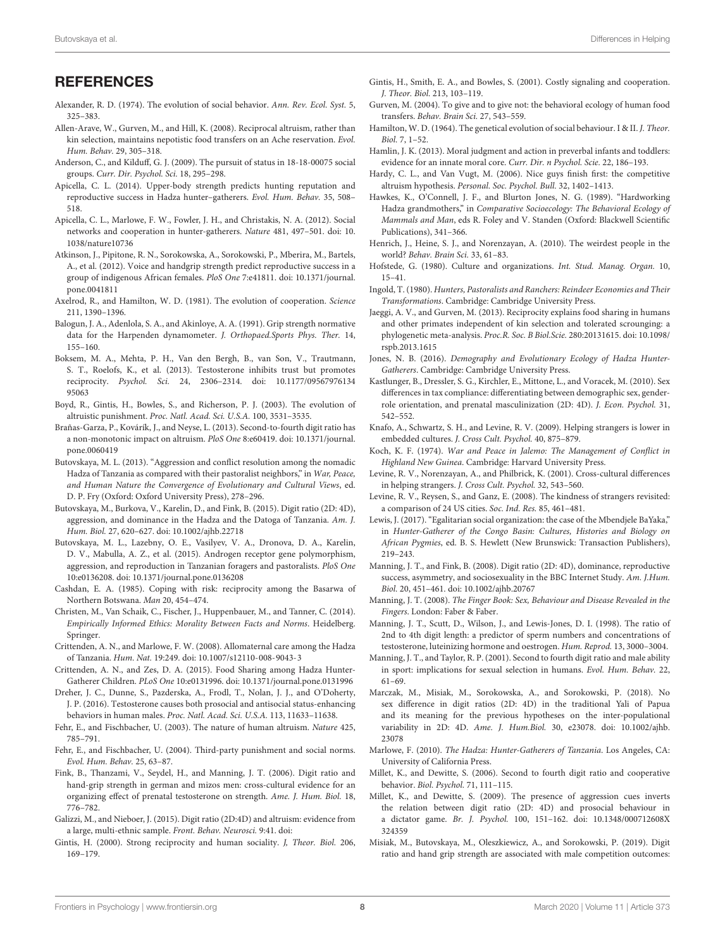## **REFERENCES**

- <span id="page-7-5"></span>Alexander, R. D. (1974). The evolution of social behavior. Ann. Rev. Ecol. Syst. 5, 325–383.
- <span id="page-7-15"></span>Allen-Arave, W., Gurven, M., and Hill, K. (2008). Reciprocal altruism, rather than kin selection, maintains nepotistic food transfers on an Ache reservation. Evol. Hum. Behav. 29, 305–318.
- <span id="page-7-20"></span>Anderson, C., and Kilduff, G. J. (2009). The pursuit of status in 18-18-00075 social groups. Curr. Dir. Psychol. Sci. 18, 295–298.
- <span id="page-7-32"></span>Apicella, C. L. (2014). Upper-body strength predicts hunting reputation and reproductive success in Hadza hunter–gatherers. Evol. Hum. Behav. 35, 508– 518.
- <span id="page-7-16"></span>Apicella, C. L., Marlowe, F. W., Fowler, J. H., and Christakis, N. A. (2012). Social networks and cooperation in hunter-gatherers. Nature 481, 497–501. [doi: 10.](https://doi.org/10.1038/nature10736) [1038/nature10736](https://doi.org/10.1038/nature10736)
- <span id="page-7-47"></span>Atkinson, J., Pipitone, R. N., Sorokowska, A., Sorokowski, P., Mberira, M., Bartels, A., et al. (2012). Voice and handgrip strength predict reproductive success in a group of indigenous African females. PloS One 7:e41811. [doi: 10.1371/journal.](https://doi.org/10.1371/journal.pone.0041811) [pone.0041811](https://doi.org/10.1371/journal.pone.0041811)
- <span id="page-7-6"></span>Axelrod, R., and Hamilton, W. D. (1981). The evolution of cooperation. Science 211, 1390–1396.
- <span id="page-7-43"></span>Balogun, J. A., Adenlola, S. A., and Akinloye, A. A. (1991). Grip strength normative data for the Harpenden dynamometer. J. Orthopaed.Sports Phys. Ther. 14, 155–160.
- <span id="page-7-23"></span>Boksem, M. A., Mehta, P. H., Van den Bergh, B., van Son, V., Trautmann, S. T., Roelofs, K., et al. (2013). Testosterone inhibits trust but promotes reciprocity. Psychol. Sci. 24, 2306–2314. [doi: 10.1177/09567976134](https://doi.org/10.1177/0956797613495063) [95063](https://doi.org/10.1177/0956797613495063)
- <span id="page-7-10"></span>Boyd, R., Gintis, H., Bowles, S., and Richerson, P. J. (2003). The evolution of altruistic punishment. Proc. Natl. Acad. Sci. U.S.A. 100, 3531–3535.
- <span id="page-7-28"></span>Brañas-Garza, P., Kovárík, J., and Neyse, L. (2013). Second-to-fourth digit ratio has a non-monotonic impact on altruism. PloS One 8:e60419. [doi: 10.1371/journal.](https://doi.org/10.1371/journal.pone.0060419) [pone.0060419](https://doi.org/10.1371/journal.pone.0060419)
- <span id="page-7-40"></span>Butovskaya, M. L. (2013). "Aggression and conflict resolution among the nomadic Hadza of Tanzania as compared with their pastoralist neighbors," in War, Peace, and Human Nature the Convergence of Evolutionary and Cultural Views, ed. D. P. Fry (Oxford: Oxford University Press), 278–296.
- <span id="page-7-21"></span>Butovskaya, M., Burkova, V., Karelin, D., and Fink, B. (2015). Digit ratio (2D: 4D), aggression, and dominance in the Hadza and the Datoga of Tanzania. Am. J. Hum. Biol. 27, 620–627. [doi: 10.1002/ajhb.22718](https://doi.org/10.1002/ajhb.22718)
- <span id="page-7-22"></span>Butovskaya, M. L., Lazebny, O. E., Vasilyev, V. A., Dronova, D. A., Karelin, D. V., Mabulla, A. Z., et al. (2015). Androgen receptor gene polymorphism, aggression, and reproduction in Tanzanian foragers and pastoralists. PloS One 10:e0136208. [doi: 10.1371/journal.pone.0136208](https://doi.org/10.1371/journal.pone.0136208)
- <span id="page-7-13"></span>Cashdan, E. A. (1985). Coping with risk: reciprocity among the Basarwa of Northern Botswana. Man 20, 454–474.
- <span id="page-7-44"></span>Christen, M., Van Schaik, C., Fischer, J., Huppenbauer, M., and Tanner, C. (2014). Empirically Informed Ethics: Morality Between Facts and Norms. Heidelberg. Springer.
- <span id="page-7-35"></span>Crittenden, A. N., and Marlowe, F. W. (2008). Allomaternal care among the Hadza of Tanzania. Hum. Nat. 19:249. [doi: 10.1007/s12110-008-9043-3](https://doi.org/10.1007/s12110-008-9043-3)
- <span id="page-7-14"></span>Crittenden, A. N., and Zes, D. A. (2015). Food Sharing among Hadza Hunter-Gatherer Children. PLoS One 10:e0131996. [doi: 10.1371/journal.pone.0131996](https://doi.org/10.1371/journal.pone.0131996)
- <span id="page-7-24"></span>Dreher, J. C., Dunne, S., Pazderska, A., Frodl, T., Nolan, J. J., and O'Doherty, J. P. (2016). Testosterone causes both prosocial and antisocial status-enhancing behaviors in human males. Proc. Natl. Acad. Sci. U.S.A. 113, 11633–11638.
- <span id="page-7-7"></span>Fehr, E., and Fischbacher, U. (2003). The nature of human altruism. Nature 425, 785–791.
- <span id="page-7-8"></span>Fehr, E., and Fischbacher, U. (2004). Third-party punishment and social norms. Evol. Hum. Behav. 25, 63–87.
- <span id="page-7-30"></span>Fink, B., Thanzami, V., Seydel, H., and Manning, J. T. (2006). Digit ratio and hand-grip strength in german and mizos men: cross-cultural evidence for an organizing effect of prenatal testosterone on strength. Ame. J. Hum. Biol. 18, 776–782.
- <span id="page-7-33"></span>Galizzi, M., and Nieboer, J. (2015). Digit ratio (2D:4D) and altruism: evidence from a large, multi-ethnic sample. Front. Behav. Neurosci. 9:41. doi:
- <span id="page-7-9"></span>Gintis, H. (2000). Strong reciprocity and human sociality. J, Theor. Biol. 206, 169–179.
- <span id="page-7-46"></span>Gintis, H., Smith, E. A., and Bowles, S. (2001). Costly signaling and cooperation. J. Theor. Biol. 213, 103–119.
- <span id="page-7-18"></span>Gurven, M. (2004). To give and to give not: the behavioral ecology of human food transfers. Behav. Brain Sci. 27, 543–559.
- <span id="page-7-4"></span>Hamilton, W. D. (1964). The genetical evolution of social behaviour. I & II. J. Theor. Biol. 7, 1–52.
- <span id="page-7-0"></span>Hamlin, J. K. (2013). Moral judgment and action in preverbal infants and toddlers: evidence for an innate moral core. Curr. Dir. n Psychol. Scie. 22, 186–193.
- <span id="page-7-19"></span>Hardy, C. L., and Van Vugt, M. (2006). Nice guys finish first: the competitive altruism hypothesis. Personal. Soc. Psychol. Bull. 32, 1402–1413.
- <span id="page-7-45"></span>Hawkes, K., O'Connell, J. F., and Blurton Jones, N. G. (1989). "Hardworking Hadza grandmothers," in Comparative Socioecology: The Behavioral Ecology of Mammals and Man, eds R. Foley and V. Standen (Oxford: Blackwell Scientific Publications), 341–366.
- <span id="page-7-34"></span>Henrich, J., Heine, S. J., and Norenzayan, A. (2010). The weirdest people in the world? Behav. Brain Sci. 33, 61–83.
- <span id="page-7-49"></span>Hofstede, G. (1980). Culture and organizations. Int. Stud. Manag. Organ. 10, 15–41.
- <span id="page-7-12"></span>Ingold, T. (1980). Hunters, Pastoralists and Ranchers: Reindeer Economies and Their Transformations. Cambridge: Cambridge University Press.
- <span id="page-7-17"></span>Jaeggi, A. V., and Gurven, M. (2013). Reciprocity explains food sharing in humans and other primates independent of kin selection and tolerated scrounging: a phylogenetic meta-analysis. Proc.R. Soc. B Biol.Scie. 280:20131615. [doi: 10.1098/](https://doi.org/10.1098/rspb.2013.1615) [rspb.2013.1615](https://doi.org/10.1098/rspb.2013.1615)
- <span id="page-7-39"></span>Jones, N. B. (2016). Demography and Evolutionary Ecology of Hadza Hunter-Gatherers. Cambridge: Cambridge University Press.
- <span id="page-7-48"></span>Kastlunger, B., Dressler, S. G., Kirchler, E., Mittone, L., and Voracek, M. (2010). Sex differences in tax compliance: differentiating between demographic sex, genderrole orientation, and prenatal masculinization (2D: 4D). J. Econ. Psychol. 31, 542–552.
- <span id="page-7-3"></span>Knafo, A., Schwartz, S. H., and Levine, R. V. (2009). Helping strangers is lower in embedded cultures. J. Cross Cult. Psychol. 40, 875–879.
- <span id="page-7-37"></span>Koch, K. F. (1974). War and Peace in Jalemo: The Management of Conflict in Highland New Guinea. Cambridge: Harvard University Press.
- <span id="page-7-1"></span>Levine, R. V., Norenzayan, A., and Philbrick, K. (2001). Cross-cultural differences in helping strangers. J. Cross Cult. Psychol. 32, 543–560.
- <span id="page-7-2"></span>Levine, R. V., Reysen, S., and Ganz, E. (2008). The kindness of strangers revisited: a comparison of 24 US cities. Soc. Ind. Res. 85, 461–481.
- <span id="page-7-11"></span>Lewis, J. (2017). "Egalitarian social organization: the case of the Mbendjele BaYaka," in Hunter-Gatherer of the Congo Basin: Cultures, Histories and Biology on African Pygmies, ed. B. S. Hewlett (New Brunswick: Transaction Publishers), 219–243.
- <span id="page-7-25"></span>Manning, J. T., and Fink, B. (2008). Digit ratio (2D: 4D), dominance, reproductive success, asymmetry, and sociosexuality in the BBC Internet Study. Am. J.Hum. Biol. 20, 451–461. [doi: 10.1002/ajhb.20767](https://doi.org/10.1002/ajhb.20767)
- <span id="page-7-42"></span>Manning, J. T. (2008). The Finger Book: Sex, Behaviour and Disease Revealed in the Fingers. London: Faber & Faber.
- <span id="page-7-41"></span>Manning, J. T., Scutt, D., Wilson, J., and Lewis-Jones, D. I. (1998). The ratio of 2nd to 4th digit length: a predictor of sperm numbers and concentrations of testosterone, luteinizing hormone and oestrogen. Hum. Reprod. 13, 3000–3004.
- <span id="page-7-29"></span>Manning, J. T., and Taylor, R. P. (2001). Second to fourth digit ratio and male ability in sport: implications for sexual selection in humans. Evol. Hum. Behav. 22, 61–69.
- <span id="page-7-38"></span>Marczak, M., Misiak, M., Sorokowska, A., and Sorokowski, P. (2018). No sex difference in digit ratios (2D: 4D) in the traditional Yali of Papua and its meaning for the previous hypotheses on the inter-populational variability in 2D: 4D. Ame. J. Hum.Biol. 30, e23078. [doi: 10.1002/ajhb.](https://doi.org/10.1002/ajhb.23078) [23078](https://doi.org/10.1002/ajhb.23078)
- <span id="page-7-36"></span>Marlowe, F. (2010). The Hadza: Hunter-Gatherers of Tanzania. Los Angeles, CA: University of California Press.
- <span id="page-7-26"></span>Millet, K., and Dewitte, S. (2006). Second to fourth digit ratio and cooperative behavior. Biol. Psychol. 71, 111–115.
- <span id="page-7-27"></span>Millet, K., and Dewitte, S. (2009). The presence of aggression cues inverts the relation between digit ratio (2D: 4D) and prosocial behaviour in a dictator game. Br. J. Psychol. 100, 151–162. [doi: 10.1348/000712608X](https://doi.org/10.1348/000712608X324359) [324359](https://doi.org/10.1348/000712608X324359)
- <span id="page-7-31"></span>Misiak, M., Butovskaya, M., Oleszkiewicz, A., and Sorokowski, P. (2019). Digit ratio and hand grip strength are associated with male competition outcomes: